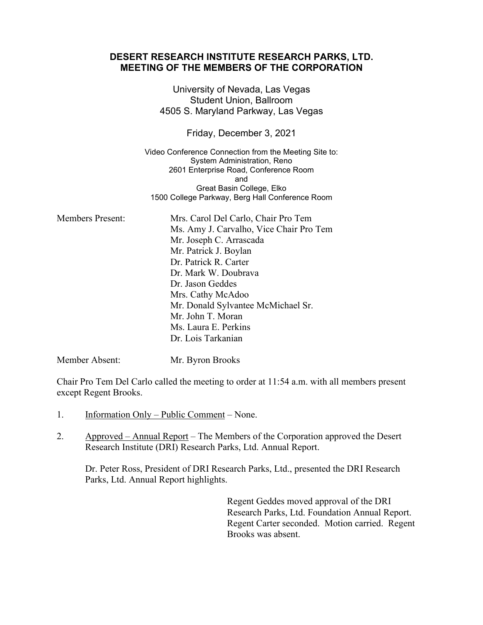|                         | DESERT RESEARCH INSTITUTE RESEARCH PARKS, LTD.<br><b>MEETING OF THE MEMBERS OF THE CORPORATION</b>                                                                                                                                                                                                                                    |
|-------------------------|---------------------------------------------------------------------------------------------------------------------------------------------------------------------------------------------------------------------------------------------------------------------------------------------------------------------------------------|
|                         | University of Nevada, Las Vegas<br><b>Student Union, Ballroom</b><br>4505 S. Maryland Parkway, Las Vegas                                                                                                                                                                                                                              |
|                         | Friday, December 3, 2021                                                                                                                                                                                                                                                                                                              |
|                         | Video Conference Connection from the Meeting Site to:<br>System Administration, Reno<br>2601 Enterprise Road, Conference Room<br>and<br>Great Basin College, Elko<br>1500 College Parkway, Berg Hall Conference Room                                                                                                                  |
| <b>Members Present:</b> | Mrs. Carol Del Carlo, Chair Pro Tem<br>Ms. Amy J. Carvalho, Vice Chair Pro Tem<br>Mr. Joseph C. Arrascada<br>Mr. Patrick J. Boylan<br>Dr. Patrick R. Carter<br>Dr. Mark W. Doubrava<br>Dr. Jason Geddes<br>Mrs. Cathy McAdoo<br>Mr. Donald Sylvantee McMichael Sr.<br>Mr. John T. Moran<br>Ms. Laura E. Perkins<br>Dr. Lois Tarkanian |
| Member Absent:          | Mr. Byron Brooks                                                                                                                                                                                                                                                                                                                      |

Chair Pro Tem Del Carlo called the meeting to order at 11:54 a.m. with all members present except Regent Brooks.

- 1. Information Only Public Comment None.
- 2. Approved Annual Report The Members of the Corporation approved the Desert Research Institute (DRI) Research Parks, Ltd. Annual Report.

Dr. Peter Ross, President of DRI Research Parks, Ltd., presented the DRI Research Parks, Ltd. Annual Report highlights.

> Regent Geddes moved approval of the DRI Research Parks, Ltd. Foundation Annual Report. Regent Carter seconded. Motion carried. Regent Brooks was absent.